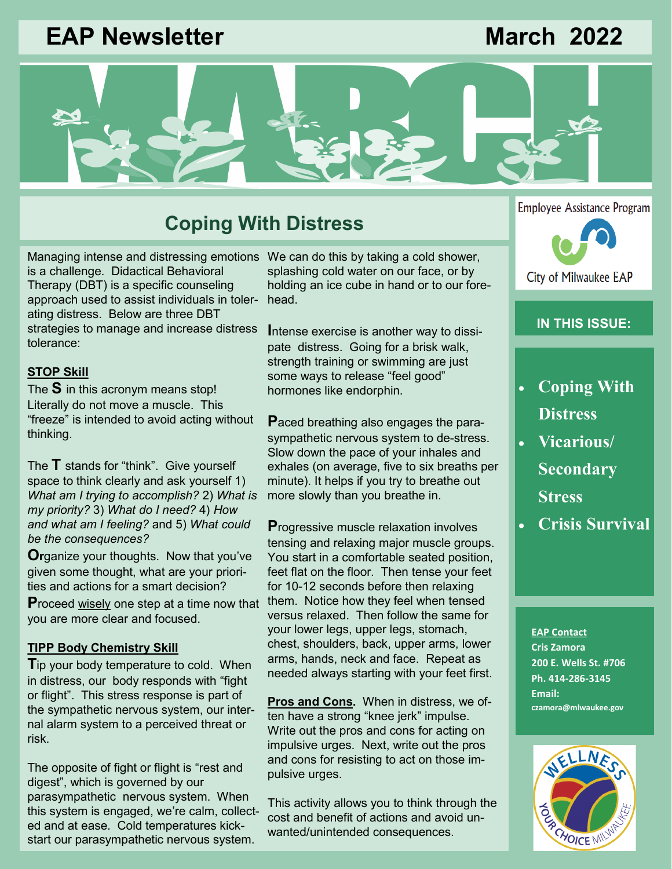# **EAP Newsletter March 2022**



# **Coping With Distress**

Managing intense and distressing emotions We can do this by taking a cold shower, is a challenge. Didactical Behavioral Therapy (DBT) is a specific counseling approach used to assist individuals in tolerating distress. Below are three DBT strategies to manage and increase distress tolerance:

### **STOP Skill**

The **S** in this acronym means stop! Literally do not move a muscle. This "freeze" is intended to avoid acting without thinking.

The **T** stands for "think". Give yourself space to think clearly and ask yourself 1) *What am I trying to accomplish?* 2) *What is my priority?* 3) *What do I need?* 4) *How and what am I feeling?* and 5) *What could be the consequences?*

**Or**ganize your thoughts. Now that you've given some thought, what are your priorities and actions for a smart decision?

**P**roceed wisely one step at a time now that you are more clear and focused.

#### **TIPP Body Chemistry Skill**

**T**ip your body temperature to cold. When in distress, our body responds with "fight or flight". This stress response is part of the sympathetic nervous system, our internal alarm system to a perceived threat or risk.

The opposite of fight or flight is "rest and digest", which is governed by our parasympathetic nervous system. When this system is engaged, we're calm, collected and at ease. Cold temperatures kickstart our parasympathetic nervous system.

splashing cold water on our face, or by holding an ice cube in hand or to our forehead.

**I**ntense exercise is another way to dissipate distress. Going for a brisk walk, strength training or swimming are just some ways to release "feel good" hormones like endorphin.

**P**aced breathing also engages the parasympathetic nervous system to de-stress. Slow down the pace of your inhales and exhales (on average, five to six breaths per minute). It helps if you try to breathe out more slowly than you breathe in.

**P**rogressive muscle relaxation involves tensing and relaxing major muscle groups. You start in a comfortable seated position, feet flat on the floor. Then tense your feet for 10-12 seconds before then relaxing them. Notice how they feel when tensed versus relaxed. Then follow the same for your lower legs, upper legs, stomach, chest, shoulders, back, upper arms, lower arms, hands, neck and face. Repeat as needed always starting with your feet first.

**Pros and Cons.** When in distress, we often have a strong "knee jerk" impulse. Write out the pros and cons for acting on impulsive urges. Next, write out the pros and cons for resisting to act on those impulsive urges.

This activity allows you to think through the cost and benefit of actions and avoid unwanted/unintended consequences.

**Employee Assistance Program** City of Milwaukee EAP

### **IN THIS ISSUE:**

- **Coping With Distress**
- **Vicarious/ Secondary Stress**
- **Crisis Survival**

**EAP Contact Cris Zamora 200 E. Wells St. #706 Ph. 414-286-3145 Email: czamora@mlwaukee.gov**